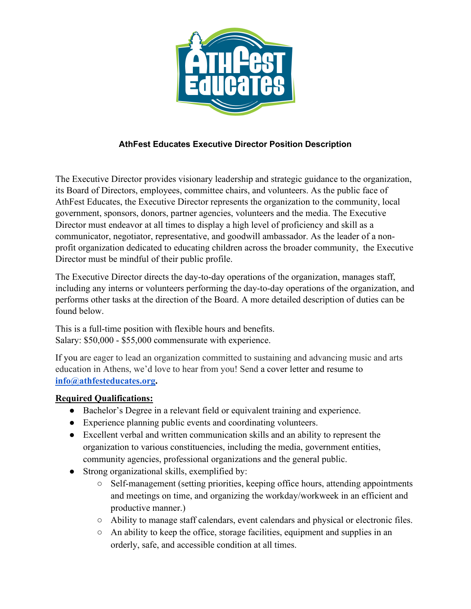

# **AthFest Educates Executive Director Position Description**

The Executive Director provides visionary leadership and strategic guidance to the organization, its Board of Directors, employees, committee chairs, and volunteers. As the public face of AthFest Educates, the Executive Director represents the organization to the community, local government, sponsors, donors, partner agencies, volunteers and the media. The Executive Director must endeavor at all times to display a high level of proficiency and skill as a communicator, negotiator, representative, and goodwill ambassador. As the leader of a nonprofit organization dedicated to educating children across the broader community, the Executive Director must be mindful of their public profile.

The Executive Director directs the day-to-day operations of the organization, manages staff, including any interns or volunteers performing the day-to-day operations of the organization, and performs other tasks at the direction of the Board. A more detailed description of duties can be found below.

This is a full-time position with flexible hours and benefits. Salary: \$50,000 - \$55,000 commensurate with experience.

If you are eager to lead an organization committed to sustaining and advancing music and arts education in Athens, we'd love to hear from you! Send a cover letter and resume to **info@athfesteducates.org.** 

#### **Required Qualifications:**

- Bachelor's Degree in a relevant field or equivalent training and experience.
- Experience planning public events and coordinating volunteers.
- Excellent verbal and written communication skills and an ability to represent the organization to various constituencies, including the media, government entities, community agencies, professional organizations and the general public.
- Strong organizational skills, exemplified by:
	- Self-management (setting priorities, keeping office hours, attending appointments and meetings on time, and organizing the workday/workweek in an efficient and productive manner.)
	- Ability to manage staff calendars, event calendars and physical or electronic files.
	- An ability to keep the office, storage facilities, equipment and supplies in an orderly, safe, and accessible condition at all times.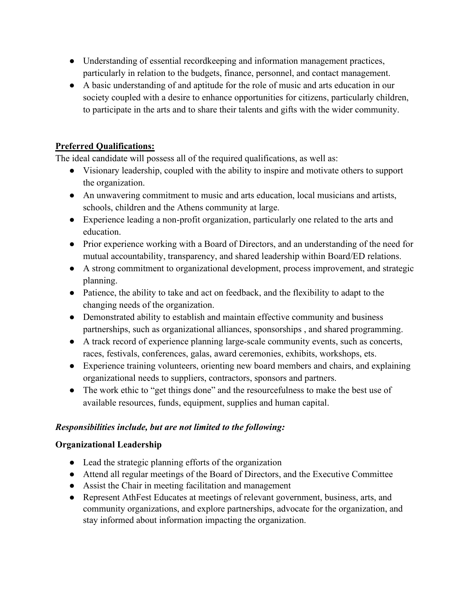- Understanding of essential recordkeeping and information management practices, particularly in relation to the budgets, finance, personnel, and contact management.
- A basic understanding of and aptitude for the role of music and arts education in our society coupled with a desire to enhance opportunities for citizens, particularly children, to participate in the arts and to share their talents and gifts with the wider community.

## **Preferred Qualifications:**

The ideal candidate will possess all of the required qualifications, as well as:

- Visionary leadership, coupled with the ability to inspire and motivate others to support the organization.
- An unwavering commitment to music and arts education, local musicians and artists, schools, children and the Athens community at large.
- Experience leading a non-profit organization, particularly one related to the arts and education.
- Prior experience working with a Board of Directors, and an understanding of the need for mutual accountability, transparency, and shared leadership within Board/ED relations.
- A strong commitment to organizational development, process improvement, and strategic planning.
- Patience, the ability to take and act on feedback, and the flexibility to adapt to the changing needs of the organization.
- Demonstrated ability to establish and maintain effective community and business partnerships, such as organizational alliances, sponsorships , and shared programming.
- A track record of experience planning large-scale community events, such as concerts, races, festivals, conferences, galas, award ceremonies, exhibits, workshops, ets.
- Experience training volunteers, orienting new board members and chairs, and explaining organizational needs to suppliers, contractors, sponsors and partners.
- The work ethic to "get things done" and the resourcefulness to make the best use of available resources, funds, equipment, supplies and human capital.

## *Responsibilities include, but are not limited to the following:*

## **Organizational Leadership**

- Lead the strategic planning efforts of the organization
- Attend all regular meetings of the Board of Directors, and the Executive Committee
- Assist the Chair in meeting facilitation and management
- Represent AthFest Educates at meetings of relevant government, business, arts, and community organizations, and explore partnerships, advocate for the organization, and stay informed about information impacting the organization.